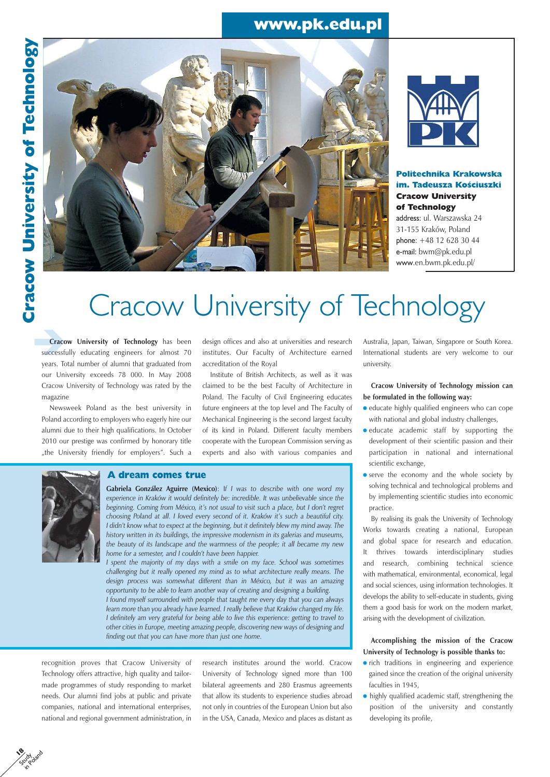## www.pk.edu.pl





Politechnika Krakowska im. Tadeusza Kościuszki Cracow University of Technology

address: ul. Warszawska 24 31-155 Kraków, Poland phone: +48 12 628 30 44 e-mail: bwm@pk.edu.pl www.en.bwm.pk.edu.pl/

# Cracow University of Technology

**Cracow University of Technology** has been successfully educating engineers for almost 70 years. Total number of alumni that graduated from our University exceeds 78 000. In May 2008 Cracow University of Technology was rated by the magazine

Newsweek Poland as the best university in Poland according to employers who eagerly hire our alumni due to their high qualifications. In October 2010 our prestige was confirmed by honorary title "the University friendly for employers". Such a

design offices and also at universities and research institutes. Our Faculty of Architecture earned accreditation of the Royal

Institute of British Architects, as well as it was claimed to be the best Faculty of Architecture in Poland. The Faculty of Civil Engineering educates future engineers at the top level and The Faculty of Mechanical Engineering is the second largest faculty of its kind in Poland. Different faculty members cooperate with the European Commission serving as experts and also with various companies and



 $\mathbf{\hat{e}}$ Study in Poland

### A dream comes true

**Gabriela González Aguirre (Mexico)**: I*f I was to describe with one word my experience in Kraków it would definitely be: incredible. It was unbelievable since the beginning. Coming from México, it's not usual to visit such a place, but I don't regret choosing Poland at all. I loved every second of it. Kraków it's such a beautiful city. I didn't know what to expect at the beginning, but it definitely blew my mind away. The history written in its buildings, the impressive modernism in its galerias and museums, the beauty of its landscape and the warmness of the people; it all became my new home for a semester, and I couldn't have been happier.* 

*I spent the majority of my days with a smile on my face. School was sometimes challenging but it really opened my mind as to what architecture really means. The design process was somewhat different than in México, but it was an amazing opportunity to be able to learn another way of creating and designing a building. I found myself surrounded with people that taught me every day that you can always learn more than you already have learned. I really believe that Kraków changed my life. I definitely am very grateful for being able to live this experience: getting to travel to other cities in Europe, meeting amazing people, discovering new ways of designing and finding out that you can have more than just one home.*

recognition proves that Cracow University of Technology offers attractive, high quality and tailormade programmes of study responding to market needs. Our alumni find jobs at public and private companies, national and international enterprises, national and regional government administration, in

research institutes around the world. Cracow University of Technology signed more than 100 bilateral agreements and 280 Erasmus agreements that allow its students to experience studies abroad not only in countries of the European Union but also in the USA, Canada, Mexico and places as distant as Australia, Japan, Taiwan, Singapore or South Korea. International students are very welcome to our university.

**Cracow University of Technology mission can be formulated in the following way:**

- educate highly qualified engineers who can cope with national and global industry challenges,
- educate academic staff by supporting the development of their scientific passion and their participation in national and international scientific exchange,
- **•** serve the economy and the whole society by solving technical and technological problems and by implementing scientific studies into economic practice.

By realising its goals the University of Technology Works towards creating a national, European and global space for research and education. It thrives towards interdisciplinary studies and research, combining technical science with mathematical, environmental, economical, legal and social sciences, using information technologies. It develops the ability to self-educate in students, giving them a good basis for work on the modern market, arising with the development of civilization.

**Accomplishing the mission of the Cracow University of Technology is possible thanks to:**

- **•** rich traditions in engineering and experience gained since the creation of the original university faculties in 1945,
- highly qualified academic staff, strengthening the position of the university and constantly developing its profile,